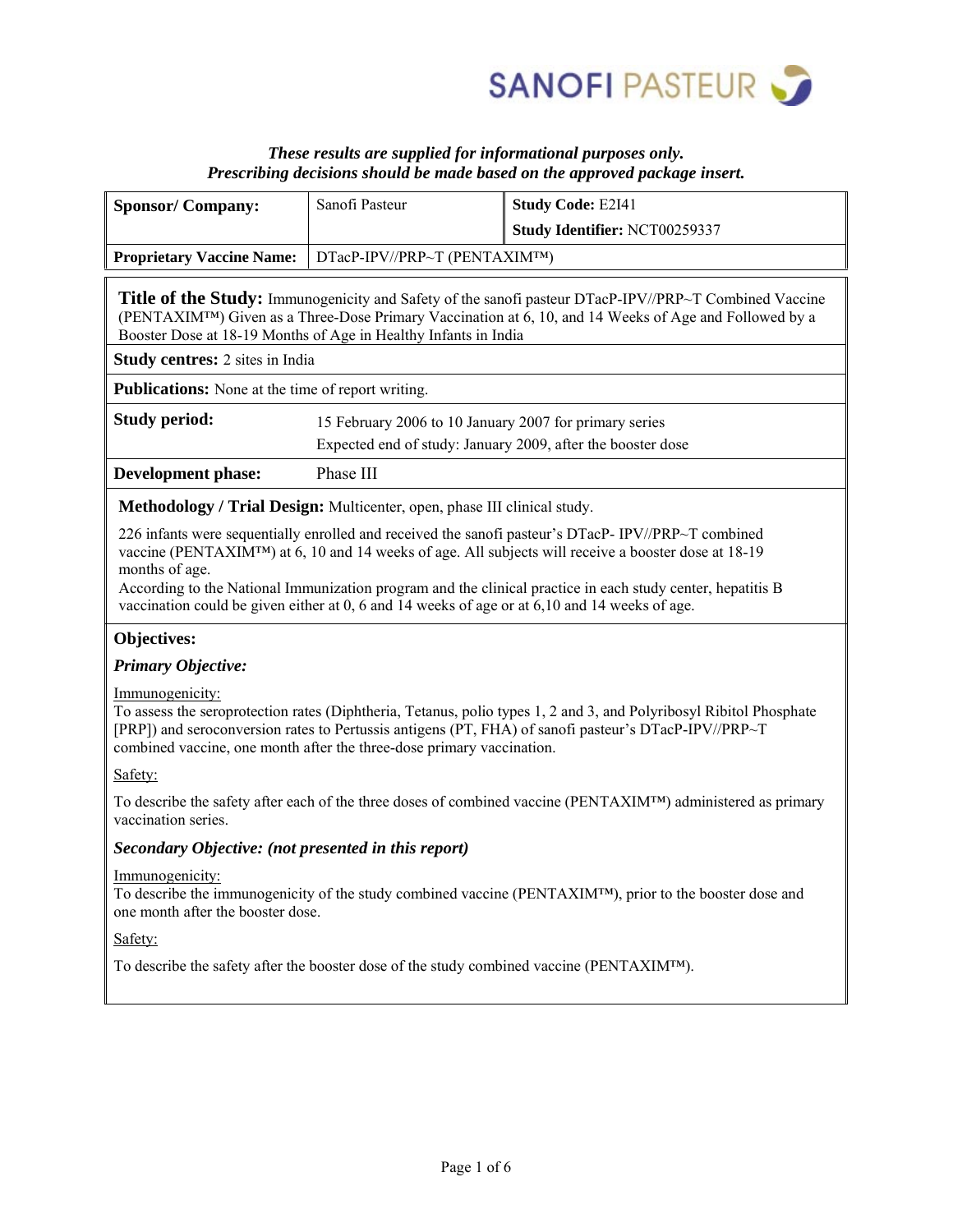

# *These results are supplied for informational purposes only. Prescribing decisions should be made based on the approved package insert.*

|                                                                                                        | Sanofi Pasteur                                                                                                        | <b>Study Code: E2I41</b>                                                                                                                                                                                                                                                                                                                                                                                                               |  |
|--------------------------------------------------------------------------------------------------------|-----------------------------------------------------------------------------------------------------------------------|----------------------------------------------------------------------------------------------------------------------------------------------------------------------------------------------------------------------------------------------------------------------------------------------------------------------------------------------------------------------------------------------------------------------------------------|--|
| <b>Sponsor/Company:</b>                                                                                |                                                                                                                       |                                                                                                                                                                                                                                                                                                                                                                                                                                        |  |
|                                                                                                        |                                                                                                                       | Study Identifier: NCT00259337                                                                                                                                                                                                                                                                                                                                                                                                          |  |
| DTacP-IPV//PRP~T (PENTAXIM™)<br><b>Proprietary Vaccine Name:</b>                                       |                                                                                                                       |                                                                                                                                                                                                                                                                                                                                                                                                                                        |  |
|                                                                                                        | Booster Dose at 18-19 Months of Age in Healthy Infants in India                                                       | <b>Title of the Study:</b> Immunogenicity and Safety of the sanofi pasteur DTacP-IPV//PRP~T Combined Vaccine<br>(PENTAXIM <sup>TM</sup> ) Given as a Three-Dose Primary Vaccination at 6, 10, and 14 Weeks of Age and Followed by a                                                                                                                                                                                                    |  |
| Study centres: 2 sites in India                                                                        |                                                                                                                       |                                                                                                                                                                                                                                                                                                                                                                                                                                        |  |
| <b>Publications:</b> None at the time of report writing.                                               |                                                                                                                       |                                                                                                                                                                                                                                                                                                                                                                                                                                        |  |
| <b>Study period:</b>                                                                                   | 15 February 2006 to 10 January 2007 for primary series<br>Expected end of study: January 2009, after the booster dose |                                                                                                                                                                                                                                                                                                                                                                                                                                        |  |
| <b>Development phase:</b>                                                                              | Phase III                                                                                                             |                                                                                                                                                                                                                                                                                                                                                                                                                                        |  |
|                                                                                                        | Methodology / Trial Design: Multicenter, open, phase III clinical study.                                              |                                                                                                                                                                                                                                                                                                                                                                                                                                        |  |
| months of age.                                                                                         |                                                                                                                       | 226 infants were sequentially enrolled and received the sanofi pasteur's DTacP-IPV//PRP~T combined<br>vaccine (PENTAXIM <sup>TM</sup> ) at 6, 10 and 14 weeks of age. All subjects will receive a booster dose at 18-19<br>According to the National Immunization program and the clinical practice in each study center, hepatitis B<br>vaccination could be given either at 0, 6 and 14 weeks of age or at 6,10 and 14 weeks of age. |  |
| Objectives:                                                                                            |                                                                                                                       |                                                                                                                                                                                                                                                                                                                                                                                                                                        |  |
| <b>Primary Objective:</b>                                                                              |                                                                                                                       |                                                                                                                                                                                                                                                                                                                                                                                                                                        |  |
| Immunogenicity:<br>combined vaccine, one month after the three-dose primary vaccination.               |                                                                                                                       | To assess the seroprotection rates (Diphtheria, Tetanus, polio types 1, 2 and 3, and Polyribosyl Ribitol Phosphate<br>[PRP]) and seroconversion rates to Pertussis antigens (PT, FHA) of sanofi pasteur's DTacP-IPV//PRP~T                                                                                                                                                                                                             |  |
| Safety:                                                                                                |                                                                                                                       |                                                                                                                                                                                                                                                                                                                                                                                                                                        |  |
| vaccination series.                                                                                    |                                                                                                                       | To describe the safety after each of the three doses of combined vaccine (PENTAXIM <sup>TM</sup> ) administered as primary                                                                                                                                                                                                                                                                                                             |  |
| Secondary Objective: (not presented in this report)                                                    |                                                                                                                       |                                                                                                                                                                                                                                                                                                                                                                                                                                        |  |
| Immunogenicity:<br>one month after the booster dose.                                                   |                                                                                                                       | To describe the immunogenicity of the study combined vaccine (PENTAXIM™), prior to the booster dose and                                                                                                                                                                                                                                                                                                                                |  |
| Safety:                                                                                                |                                                                                                                       |                                                                                                                                                                                                                                                                                                                                                                                                                                        |  |
| To describe the safety after the booster dose of the study combined vaccine (PENTAXIM <sup>TM</sup> ). |                                                                                                                       |                                                                                                                                                                                                                                                                                                                                                                                                                                        |  |
|                                                                                                        |                                                                                                                       |                                                                                                                                                                                                                                                                                                                                                                                                                                        |  |
|                                                                                                        |                                                                                                                       |                                                                                                                                                                                                                                                                                                                                                                                                                                        |  |
|                                                                                                        |                                                                                                                       |                                                                                                                                                                                                                                                                                                                                                                                                                                        |  |
|                                                                                                        |                                                                                                                       |                                                                                                                                                                                                                                                                                                                                                                                                                                        |  |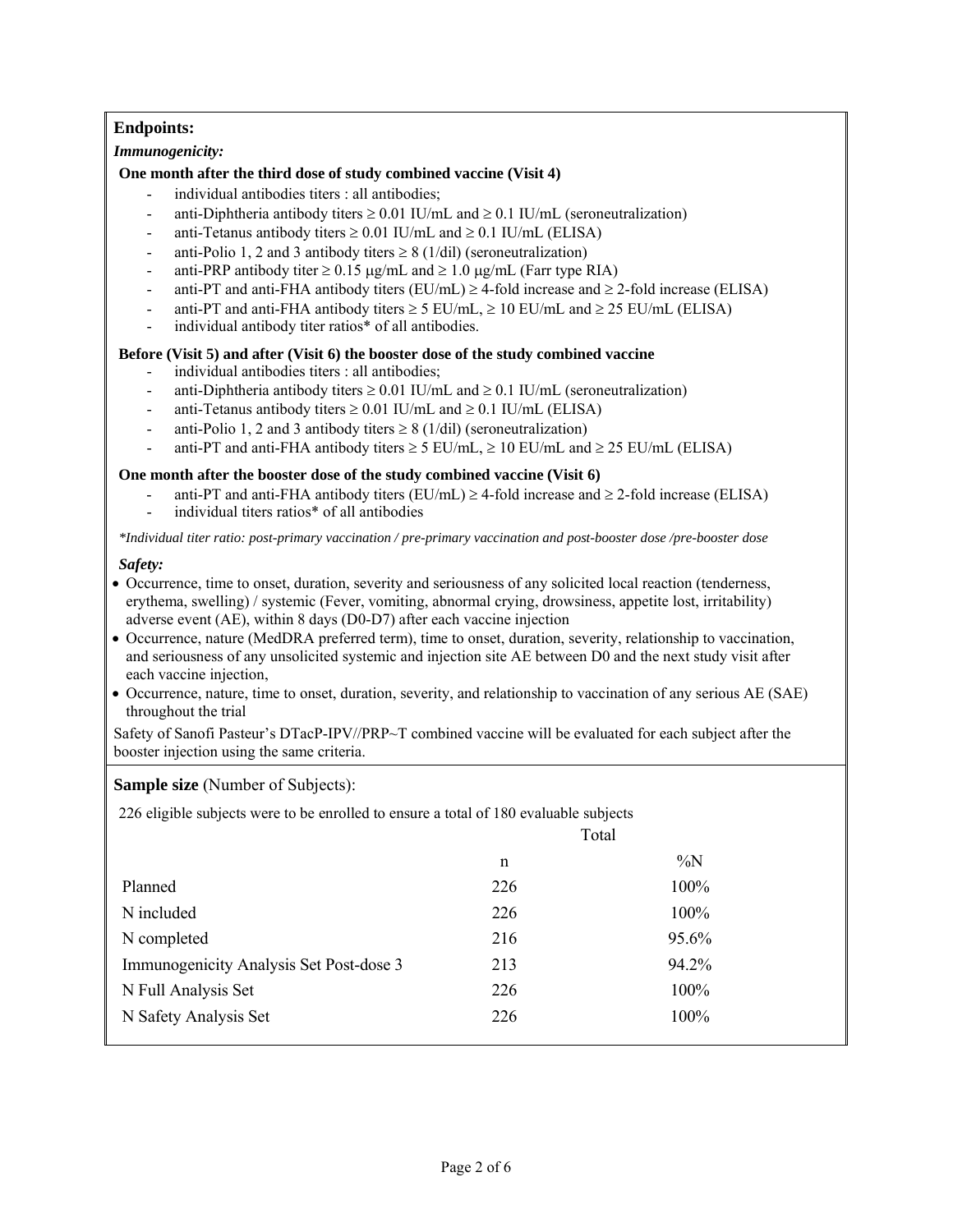## **Endpoints:**

### *Immunogenicity:*

## **One month after the third dose of study combined vaccine (Visit 4)**

- individual antibodies titers : all antibodies;
- anti-Diphtheria antibody titers  $\geq 0.01$  IU/mL and  $\geq 0.1$  IU/mL (seroneutralization)
- anti-Tetanus antibody titers  $\geq 0.01$  IU/mL and  $\geq 0.1$  IU/mL (ELISA)
- anti-Polio 1, 2 and 3 antibody titers  $\geq 8$  (1/dil) (seroneutralization)
- anti-PRP antibody titer  $\geq 0.15$  ug/mL and  $\geq 1.0$  ug/mL (Farr type RIA)
- anti-PT and anti-FHA antibody titers (EU/mL)  $\geq$  4-fold increase and  $\geq$  2-fold increase (ELISA)
- anti-PT and anti-FHA antibody titers  $\geq$  5 EU/mL,  $\geq$  10 EU/mL and  $\geq$  25 EU/mL (ELISA)
- individual antibody titer ratios\* of all antibodies.

## **Before (Visit 5) and after (Visit 6) the booster dose of the study combined vaccine**

- individual antibodies titers : all antibodies;
- anti-Diphtheria antibody titers  $\geq 0.01$  IU/mL and  $\geq 0.1$  IU/mL (seroneutralization)
- anti-Tetanus antibody titers  $\geq 0.01$  IU/mL and  $\geq 0.1$  IU/mL (ELISA)
- anti-Polio 1, 2 and 3 antibody titers  $\geq 8$  (1/dil) (seroneutralization)
- anti-PT and anti-FHA antibody titers  $\geq$  5 EU/mL,  $\geq$  10 EU/mL and  $\geq$  25 EU/mL (ELISA)

## **One month after the booster dose of the study combined vaccine (Visit 6)**

- anti-PT and anti-FHA antibody titers (EU/mL)  $\geq$  4-fold increase and  $\geq$  2-fold increase (ELISA)
- individual titers ratios\* of all antibodies

*\*Individual titer ratio: post-primary vaccination / pre-primary vaccination and post-booster dose /pre-booster dose*

#### *Safety:*

- Occurrence, time to onset, duration, severity and seriousness of any solicited local reaction (tenderness, erythema, swelling) / systemic (Fever, vomiting, abnormal crying, drowsiness, appetite lost, irritability) adverse event (AE), within 8 days (D0-D7) after each vaccine injection
- Occurrence, nature (MedDRA preferred term), time to onset, duration, severity, relationship to vaccination, and seriousness of any unsolicited systemic and injection site AE between D0 and the next study visit after each vaccine injection,
- Occurrence, nature, time to onset, duration, severity, and relationship to vaccination of any serious AE (SAE) throughout the trial

Safety of Sanofi Pasteur's DTacP-IPV//PRP~T combined vaccine will be evaluated for each subject after the booster injection using the same criteria.

#### **Sample size** (Number of Subjects):

226 eligible subjects were to be enrolled to ensure a total of 180 evaluable subjects

|                                         | Total |       |
|-----------------------------------------|-------|-------|
|                                         | n     | $\%N$ |
| Planned                                 | 226   | 100%  |
| N included                              | 226   | 100%  |
| N completed                             | 216   | 95.6% |
| Immunogenicity Analysis Set Post-dose 3 | 213   | 94.2% |
| N Full Analysis Set                     | 226   | 100%  |
| N Safety Analysis Set                   | 226   | 100%  |
|                                         |       |       |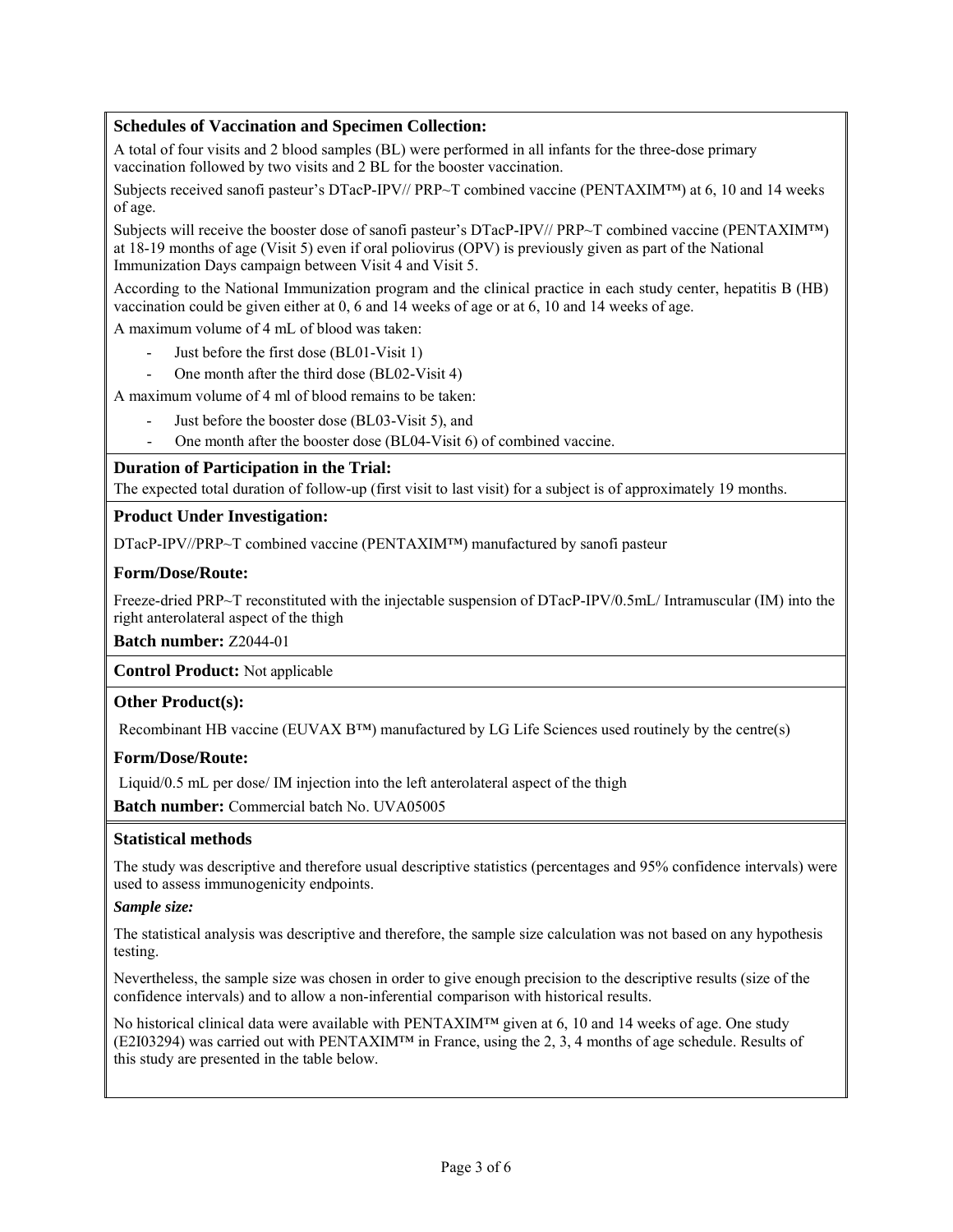## **Schedules of Vaccination and Specimen Collection:**

A total of four visits and 2 blood samples (BL) were performed in all infants for the three-dose primary vaccination followed by two visits and 2 BL for the booster vaccination.

Subjects received sanofi pasteur's DTacP-IPV// PRP~T combined vaccine (PENTAXIM™) at 6, 10 and 14 weeks of age.

Subjects will receive the booster dose of sanofi pasteur's DTacP-IPV// PRP~T combined vaccine (PENTAXIM™) at 18-19 months of age (Visit 5) even if oral poliovirus (OPV) is previously given as part of the National Immunization Days campaign between Visit 4 and Visit 5.

According to the National Immunization program and the clinical practice in each study center, hepatitis B (HB) vaccination could be given either at 0, 6 and 14 weeks of age or at 6, 10 and 14 weeks of age.

A maximum volume of 4 mL of blood was taken:

- Just before the first dose (BL01-Visit 1)
- One month after the third dose (BL02-Visit 4)

A maximum volume of 4 ml of blood remains to be taken:

- Just before the booster dose (BL03-Visit 5), and
- One month after the booster dose (BL04-Visit 6) of combined vaccine.

## **Duration of Participation in the Trial:**

The expected total duration of follow-up (first visit to last visit) for a subject is of approximately 19 months.

## **Product Under Investigation:**

DTacP-IPV//PRP~T combined vaccine (PENTAXIM™) manufactured by sanofi pasteur

## **Form/Dose/Route:**

Freeze-dried PRP~T reconstituted with the injectable suspension of DTacP-IPV/0.5mL/ Intramuscular (IM) into the right anterolateral aspect of the thigh

**Batch number:** Z2044-01

**Control Product:** Not applicable

#### **Other Product(s):**

Recombinant HB vaccine (EUVAX B™) manufactured by LG Life Sciences used routinely by the centre(s)

#### **Form/Dose/Route:**

Liquid/0.5 mL per dose/ IM injection into the left anterolateral aspect of the thigh

**Batch number:** Commercial batch No. UVA05005

#### **Statistical methods**

The study was descriptive and therefore usual descriptive statistics (percentages and 95% confidence intervals) were used to assess immunogenicity endpoints.

#### *Sample size:*

The statistical analysis was descriptive and therefore, the sample size calculation was not based on any hypothesis testing.

Nevertheless, the sample size was chosen in order to give enough precision to the descriptive results (size of the confidence intervals) and to allow a non-inferential comparison with historical results.

No historical clinical data were available with PENTAXIM™ given at 6, 10 and 14 weeks of age. One study (E2I03294) was carried out with PENTAXIM™ in France, using the 2, 3, 4 months of age schedule. Results of this study are presented in the table below.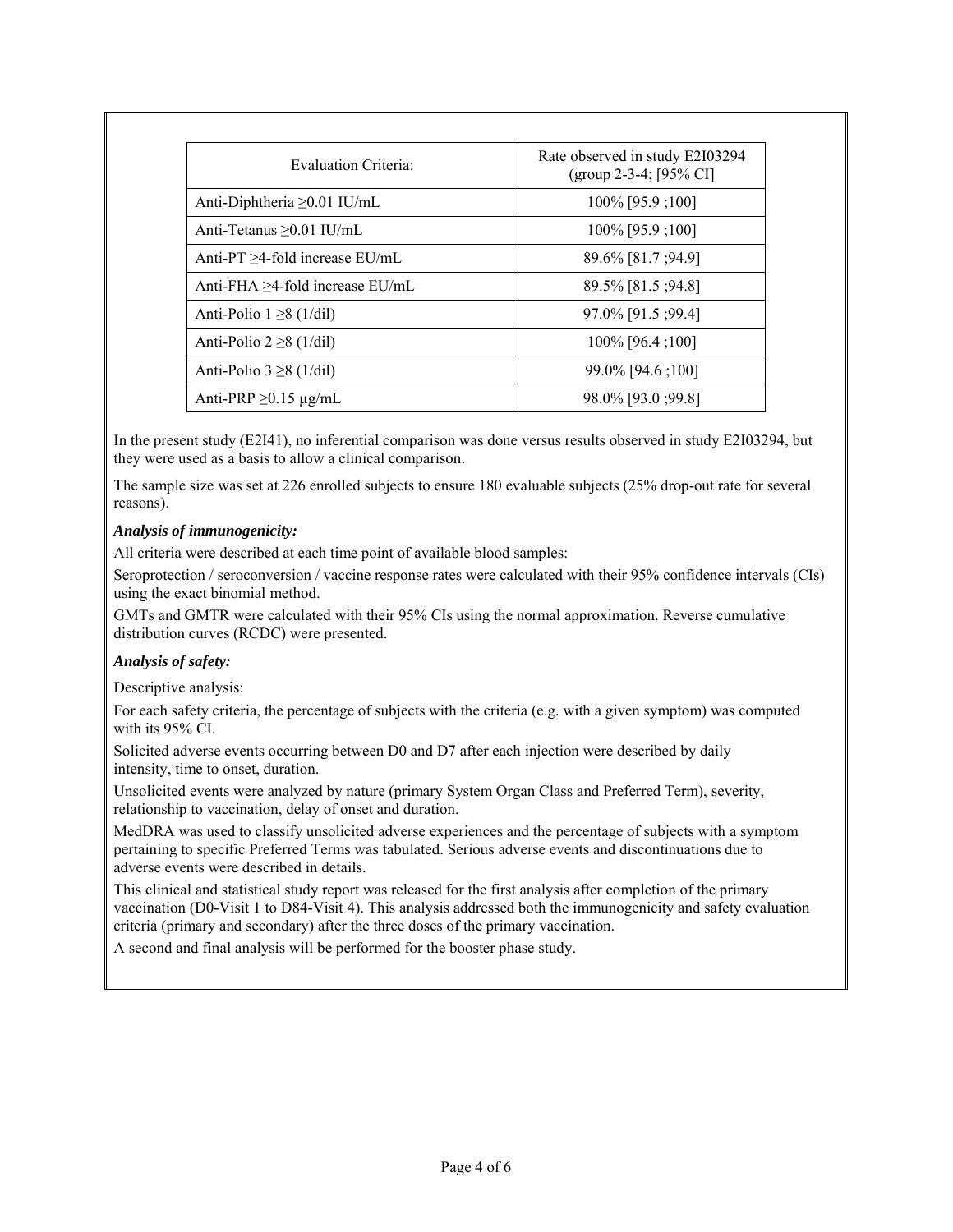| Evaluation Criteria:                  | Rate observed in study E2I03294<br>(group 2-3-4; $[95\%$ CI] |  |
|---------------------------------------|--------------------------------------------------------------|--|
| Anti-Diphtheria $\geq 0.01$ IU/mL     | 100% [95.9 ;100]                                             |  |
| Anti-Tetanus $>0.01$ IU/mL            | 100% [95.9 ;100]                                             |  |
| Anti- $PT > 4$ -fold increase $EU/mL$ | 89.6% [81.7 ; 94.9]                                          |  |
| Anti-FHA $>4$ -fold increase EU/mL    | 89.5% [81.5 ; 94.8]                                          |  |
| Anti-Polio $1 \ge 8$ (1/dil)          | 97.0% [91.5 ; 99.4]                                          |  |
| Anti-Polio $2 \ge 8$ (1/dil)          | $100\%$ [96.4 ; 100]                                         |  |
| Anti-Polio $3 \ge 8$ (1/dil)          | 99.0% [94.6 ; 100]                                           |  |
| Anti-PRP $\geq$ 0.15 µg/mL            | 98.0% [93.0 : 99.8]                                          |  |

In the present study (E2I41), no inferential comparison was done versus results observed in study E2I03294, but they were used as a basis to allow a clinical comparison.

The sample size was set at 226 enrolled subjects to ensure 180 evaluable subjects (25% drop-out rate for several reasons).

## *Analysis of immunogenicity:*

All criteria were described at each time point of available blood samples:

Seroprotection / seroconversion / vaccine response rates were calculated with their 95% confidence intervals (CIs) using the exact binomial method.

GMTs and GMTR were calculated with their 95% CIs using the normal approximation. Reverse cumulative distribution curves (RCDC) were presented.

#### *Analysis of safety:*

Descriptive analysis:

For each safety criteria, the percentage of subjects with the criteria (e.g. with a given symptom) was computed with its 95% CI.

Solicited adverse events occurring between D0 and D7 after each injection were described by daily intensity, time to onset, duration.

Unsolicited events were analyzed by nature (primary System Organ Class and Preferred Term), severity, relationship to vaccination, delay of onset and duration.

MedDRA was used to classify unsolicited adverse experiences and the percentage of subjects with a symptom pertaining to specific Preferred Terms was tabulated. Serious adverse events and discontinuations due to adverse events were described in details.

This clinical and statistical study report was released for the first analysis after completion of the primary vaccination (D0-Visit 1 to D84-Visit 4). This analysis addressed both the immunogenicity and safety evaluation criteria (primary and secondary) after the three doses of the primary vaccination.

A second and final analysis will be performed for the booster phase study.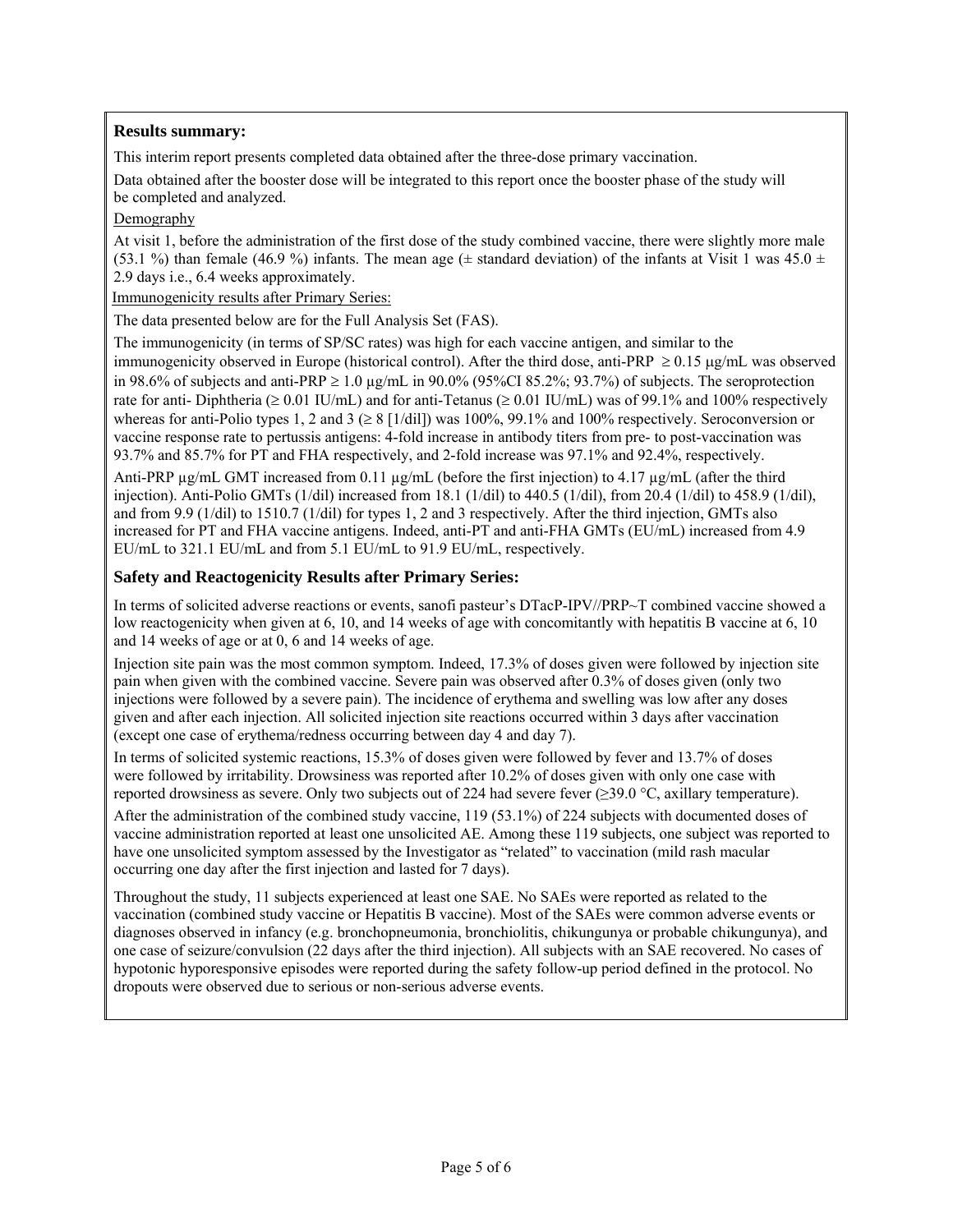## **Results summary:**

This interim report presents completed data obtained after the three-dose primary vaccination.

Data obtained after the booster dose will be integrated to this report once the booster phase of the study will be completed and analyzed.

## Demography

At visit 1, before the administration of the first dose of the study combined vaccine, there were slightly more male (53.1 %) than female (46.9 %) infants. The mean age ( $\pm$  standard deviation) of the infants at Visit 1 was 45.0  $\pm$ 2.9 days i.e., 6.4 weeks approximately.

Immunogenicity results after Primary Series:

The data presented below are for the Full Analysis Set (FAS).

The immunogenicity (in terms of SP/SC rates) was high for each vaccine antigen, and similar to the immunogenicity observed in Europe (historical control). After the third dose, anti-PRP  $\geq 0.15$  µg/mL was observed in 98.6% of subjects and anti-PRP  $\geq 1.0$  µg/mL in 90.0% (95%CI 85.2%; 93.7%) of subjects. The seroprotection rate for anti- Diphtheria ( $\geq 0.01$  IU/mL) and for anti-Tetanus ( $\geq 0.01$  IU/mL) was of 99.1% and 100% respectively whereas for anti-Polio types 1, 2 and 3 ( $\geq 8$  [1/dil]) was 100%, 99.1% and 100% respectively. Seroconversion or vaccine response rate to pertussis antigens: 4-fold increase in antibody titers from pre- to post-vaccination was 93.7% and 85.7% for PT and FHA respectively, and 2-fold increase was 97.1% and 92.4%, respectively.

Anti-PRP  $\mu$ g/mL GMT increased from 0.11  $\mu$ g/mL (before the first injection) to 4.17  $\mu$ g/mL (after the third injection). Anti-Polio GMTs (1/dil) increased from 18.1 (1/dil) to 440.5 (1/dil), from 20.4 (1/dil) to 458.9 (1/dil), and from 9.9 (1/dil) to 1510.7 (1/dil) for types 1, 2 and 3 respectively. After the third injection, GMTs also increased for PT and FHA vaccine antigens. Indeed, anti-PT and anti-FHA GMTs (EU/mL) increased from 4.9 EU/mL to 321.1 EU/mL and from 5.1 EU/mL to 91.9 EU/mL, respectively.

## **Safety and Reactogenicity Results after Primary Series:**

In terms of solicited adverse reactions or events, sanofi pasteur's DTacP-IPV//PRP~T combined vaccine showed a low reactogenicity when given at 6, 10, and 14 weeks of age with concomitantly with hepatitis B vaccine at 6, 10 and 14 weeks of age or at 0, 6 and 14 weeks of age.

Injection site pain was the most common symptom. Indeed, 17.3% of doses given were followed by injection site pain when given with the combined vaccine. Severe pain was observed after 0.3% of doses given (only two injections were followed by a severe pain). The incidence of erythema and swelling was low after any doses given and after each injection. All solicited injection site reactions occurred within 3 days after vaccination (except one case of erythema/redness occurring between day 4 and day 7).

In terms of solicited systemic reactions, 15.3% of doses given were followed by fever and 13.7% of doses were followed by irritability. Drowsiness was reported after 10.2% of doses given with only one case with reported drowsiness as severe. Only two subjects out of 224 had severe fever (≥39.0 °C, axillary temperature).

After the administration of the combined study vaccine, 119 (53.1%) of 224 subjects with documented doses of vaccine administration reported at least one unsolicited AE. Among these 119 subjects, one subject was reported to have one unsolicited symptom assessed by the Investigator as "related" to vaccination (mild rash macular occurring one day after the first injection and lasted for 7 days).

Throughout the study, 11 subjects experienced at least one SAE. No SAEs were reported as related to the vaccination (combined study vaccine or Hepatitis B vaccine). Most of the SAEs were common adverse events or diagnoses observed in infancy (e.g. bronchopneumonia, bronchiolitis, chikungunya or probable chikungunya), and one case of seizure/convulsion (22 days after the third injection). All subjects with an SAE recovered. No cases of hypotonic hyporesponsive episodes were reported during the safety follow-up period defined in the protocol. No dropouts were observed due to serious or non-serious adverse events.